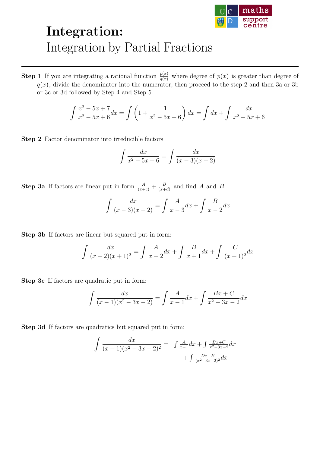

## Integration: Integration by Partial Fractions

**Step 1** If you are integrating a rational function  $\frac{p(x)}{q(x)}$  where degree of  $p(x)$  is greater than degree of  $q(x)$ , divide the denominator into the numerator, then proceed to the step 2 and then 3a or 3b or 3c or 3d followed by Step 4 and Step 5.

$$
\int \frac{x^2 - 5x + 7}{x^2 - 5x + 6} dx = \int \left(1 + \frac{1}{x^2 - 5x + 6}\right) dx = \int dx + \int \frac{dx}{x^2 - 5x + 6}
$$

Step 2 Factor denominator into irreducible factors

$$
\int \frac{dx}{x^2 - 5x + 6} = \int \frac{dx}{(x - 3)(x - 2)}
$$

**Step 3a** If factors are linear put in form  $\frac{A}{(x+c)} + \frac{B}{(x+c)}$  $\frac{B}{(x+d)}$  and find A and B.

$$
\int \frac{dx}{(x-3)(x-2)} = \int \frac{A}{x-3} dx + \int \frac{B}{x-2} dx
$$

Step 3b If factors are linear but squared put in form:

$$
\int \frac{dx}{(x-2)(x+1)^2} = \int \frac{A}{x-2} dx + \int \frac{B}{x+1} dx + \int \frac{C}{(x+1)^2} dx
$$

Step 3c If factors are quadratic put in form:

$$
\int \frac{dx}{(x-1)(x^2-3x-2)} = \int \frac{A}{x-1} dx + \int \frac{Bx+C}{x^2-3x-2} dx
$$

Step 3d If factors are quadratics but squared put in form:

$$
\int \frac{dx}{(x-1)(x^2-3x-2)^2} = \int \frac{A}{x-1} dx + \int \frac{Bx+C}{x^2-3x-2} dx
$$

$$
+ \int \frac{Dx+E}{(x^2-3x-2)^2} dx
$$